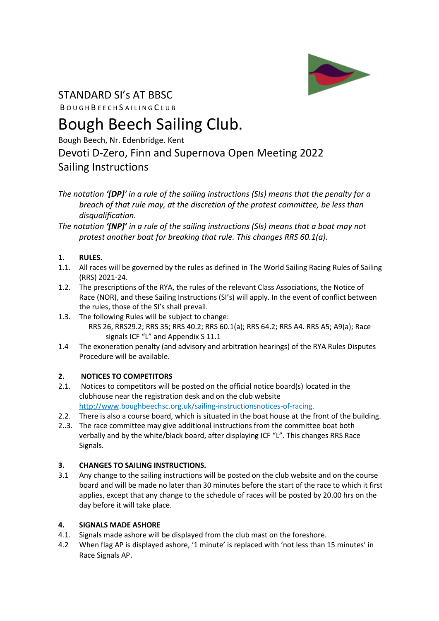

## STANDARD SI's AT BBSC

B O U G H B E E C H S A I L I N G C L U B

# Bough Beech Sailing Club.

Bough Beech, Nr. Edenbridge. Kent

### Devoti D-Zero, Finn and Supernova Open Meeting 2022 Sailing Instructions

*The notation '[DP]' in a rule of the sailing instructions (SIs) means that the penalty for a breach of that rule may, at the discretion of the protest committee, be less than disqualification.* 

*The notation '[NP]' in a rule of the sailing instructions (SIs) means that a boat may not protest another boat for breaking that rule. This changes RRS 60.1(a).*

#### **1. RULES.**

- 1.1. All races will be governed by the rules as defined in The World Sailing Racing Rules of Sailing (RRS) 2021-24.
- 1.2. The prescriptions of the RYA, the rules of the relevant Class Associations, the Notice of Race (NOR), and these Sailing Instructions (SI's) will apply. In the event of conflict between the rules, those of the SI's shall prevail.
- 1.3. The following Rules will be subject to change: RRS 26, RRS29.2; RRS 35; RRS 40.2; RRS 60.1(a); RRS 64.2; RRS A4. RRS A5; A9(a); Race signals ICF "L" and Appendix S 11.1
- 1.4 The exoneration penalty (and advisory and arbitration hearings) of the RYA Rules Disputes Procedure will be available.

#### **2. NOTICES TO COMPETITORS**

- 2.1. Notices to competitors will be posted on the official notice board(s) located in the clubhouse near the registration desk and on the club website [http://www.](about:blank)boughbeechsc.org.uk/sailing-instructionsnotices-of-racing.
- 2.2. There is also a course board, which is situated in the boat house at the front of the building.
- 2..3. The race committee may give additional instructions from the committee boat both verbally and by the white/black board, after displaying ICF "L". This changes RRS Race Signals.

#### **3. CHANGES TO SAILING INSTRUCTIONS.**

3.1 Any change to the sailing instructions will be posted on the club website and on the course board and will be made no later than 30 minutes before the start of the race to which it first applies, except that any change to the schedule of races will be posted by 20.00 hrs on the day before it will take place.

#### **4. SIGNALS MADE ASHORE**

- 4.1. Signals made ashore will be displayed from the club mast on the foreshore.
- 4.2 When flag AP is displayed ashore, '1 minute' is replaced with 'not less than 15 minutes' in Race Signals AP.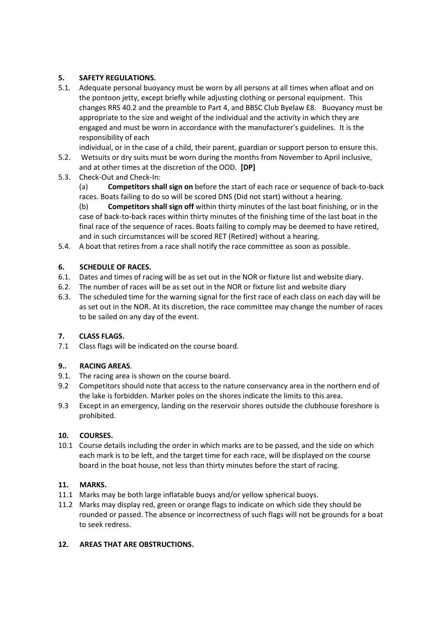#### **5. SAFETY REGULATIONS.**

5.1. Adequate personal buoyancy must be worn by all persons at all times when afloat and on the pontoon jetty, except briefly while adjusting clothing or personal equipment. This changes RRS 40.2 and the preamble to Part 4, and BBSC Club Byelaw E8. Buoyancy must be appropriate to the size and weight of the individual and the activity in which they are engaged and must be worn in accordance with the manufacturer's guidelines. It is the responsibility of each

individual, or in the case of a child, their parent, guardian or support person to ensure this.

- 5.2. Wetsuits or dry suits must be worn during the months from November to April inclusive, and at other times at the discretion of the OOD. **[DP]**
- 5.3. Check-Out and Check-In:

(a) **Competitors shall sign on** before the start of each race or sequence of back-to-back races. Boats failing to do so will be scored DNS (Did not start) without a hearing.

(b) **Competitors shall sign off** within thirty minutes of the last boat finishing, or in the case of back-to-back races within thirty minutes of the finishing time of the last boat in the final race of the sequence of races. Boats failing to comply may be deemed to have retired, and in such circumstances will be scored RET (Retired) without a hearing.

5.4. A boat that retires from a race shall notify the race committee as soon as possible.

#### **6. SCHEDULE OF RACES.**

- 6.1. Dates and times of racing will be as set out in the NOR or fixture list and website diary.
- 6.2. The number of races will be as set out in the NOR or fixture list and website diary
- 6.3. The scheduled time for the warning signal for the first race of each class on each day will be as set out in the NOR. At its discretion, the race committee may change the number of races to be sailed on any day of the event.

#### **7. CLASS FLAGS.**

7.1 Class flags will be indicated on the course board.

#### **9.. RACING AREAS**.

- 9.1. The racing area is shown on the course board.
- 9.2 Competitors should note that access to the nature conservancy area in the northern end of the lake is forbidden. Marker poles on the shores indicate the limits to this area.
- 9.3 Except in an emergency, landing on the reservoir shores outside the clubhouse foreshore is prohibited.

#### **10. COURSES.**

10.1 Course details including the order in which marks are to be passed, and the side on which each mark is to be left, and the target time for each race, will be displayed on the course board in the boat house, not less than thirty minutes before the start of racing.

#### **11. MARKS.**

- 11.1 Marks may be both large inflatable buoys and/or yellow spherical buoys.
- 11.2 Marks may display red, green or orange flags to indicate on which side they should be rounded or passed. The absence or incorrectness of such flags will not be grounds for a boat to seek redress.

#### **12. AREAS THAT ARE OBSTRUCTIONS.**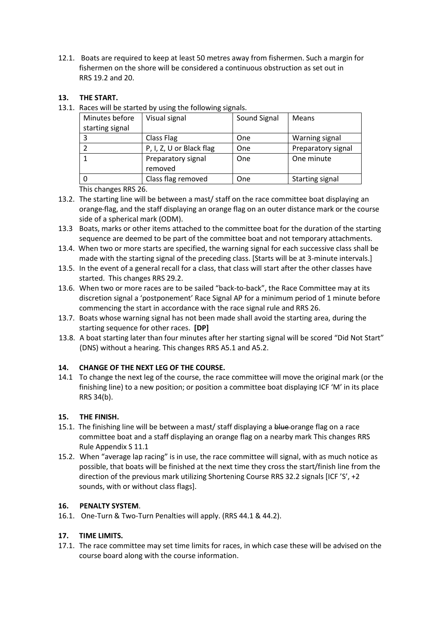12.1. Boats are required to keep at least 50 metres away from fishermen. Such a margin for fishermen on the shore will be considered a continuous obstruction as set out in RRS 19.2 and 20.

#### **13. THE START.**

13.1. Races will be started by using the following signals.

| Minutes before  | Visual signal            | Sound Signal | <b>Means</b>       |
|-----------------|--------------------------|--------------|--------------------|
| starting signal |                          |              |                    |
|                 | Class Flag               | One          | Warning signal     |
|                 | P, I, Z, U or Black flag | One          | Preparatory signal |
|                 | Preparatory signal       | One          | One minute         |
|                 | removed                  |              |                    |
|                 | Class flag removed       | One          | Starting signal    |

This changes RRS 26.

- 13.2. The starting line will be between a mast/ staff on the race committee boat displaying an orange flag, and the staff displaying an orange flag on an outer distance mark or the course side of a spherical mark (ODM).
- 13.3 Boats, marks or other items attached to the committee boat for the duration of the starting sequence are deemed to be part of the committee boat and not temporary attachments.
- 13.4. When two or more starts are specified, the warning signal for each successive class shall be made with the starting signal of the preceding class. [Starts will be at 3-minute intervals.]
- 13.5. In the event of a general recall for a class, that class will start after the other classes have started. This changes RRS 29.2.
- 13.6. When two or more races are to be sailed "back-to-back", the Race Committee may at its discretion signal a 'postponement' Race Signal AP for a minimum period of 1 minute before commencing the start in accordance with the race signal rule and RRS 26.
- 13.7. Boats whose warning signal has not been made shall avoid the starting area, during the starting sequence for other races. **[DP]**
- 13.8. A boat starting later than four minutes after her starting signal will be scored "Did Not Start" (DNS) without a hearing. This changes RRS A5.1 and A5.2.

#### **14. CHANGE OF THE NEXT LEG OF THE COURSE.**

14.1 To change the next leg of the course, the race committee will move the original mark (or the finishing line) to a new position; or position a committee boat displaying ICF 'M' in its place RRS 34(b).

#### **15. THE FINISH.**

- 15.1. The finishing line will be between a mast/ staff displaying a blue-orange flag on a race committee boat and a staff displaying an orange flag on a nearby mark This changes RRS Rule Appendix S 11.1
- 15.2. When "average lap racing" is in use, the race committee will signal, with as much notice as possible, that boats will be finished at the next time they cross the start/finish line from the direction of the previous mark utilizing Shortening Course RRS 32.2 signals [ICF 'S', +2 sounds, with or without class flags].

#### **16. PENALTY SYSTEM**.

16.1. One-Turn & Two-Turn Penalties will apply. (RRS 44.1 & 44.2).

#### **17. TIME LIMITS.**

17.1. The race committee may set time limits for races, in which case these will be advised on the course board along with the course information.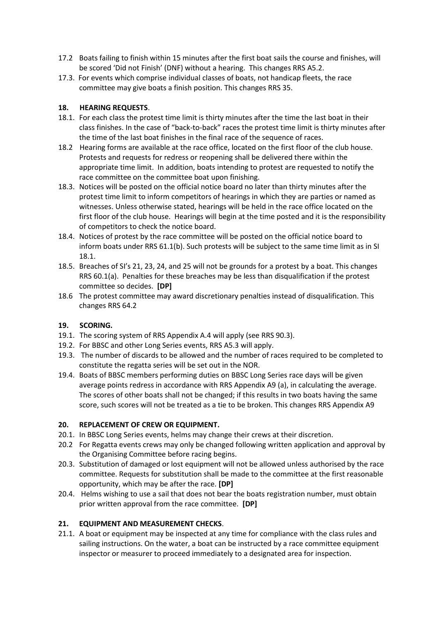- 17.2 Boats failing to finish within 15 minutes after the first boat sails the course and finishes, will be scored 'Did not Finish' (DNF) without a hearing. This changes RRS A5.2.
- 17.3. For events which comprise individual classes of boats, not handicap fleets, the race committee may give boats a finish position. This changes RRS 35.

#### **18. HEARING REQUESTS**.

- 18.1. For each class the protest time limit is thirty minutes after the time the last boat in their class finishes. In the case of "back-to-back" races the protest time limit is thirty minutes after the time of the last boat finishes in the final race of the sequence of races.
- 18.2 Hearing forms are available at the race office, located on the first floor of the club house. Protests and requests for redress or reopening shall be delivered there within the appropriate time limit. In addition, boats intending to protest are requested to notify the race committee on the committee boat upon finishing.
- 18.3. Notices will be posted on the official notice board no later than thirty minutes after the protest time limit to inform competitors of hearings in which they are parties or named as witnesses. Unless otherwise stated, hearings will be held in the race office located on the first floor of the club house. Hearings will begin at the time posted and it is the responsibility of competitors to check the notice board.
- 18.4. Notices of protest by the race committee will be posted on the official notice board to inform boats under RRS 61.1(b). Such protests will be subject to the same time limit as in SI 18.1.
- 18.5. Breaches of SI's 21, 23, 24, and 25 will not be grounds for a protest by a boat. This changes RRS 60.1(a). Penalties for these breaches may be less than disqualification if the protest committee so decides. **[DP]**
- 18.6 The protest committee may award discretionary penalties instead of disqualification. This changes RRS 64.2

#### **19. SCORING.**

- 19.1. The scoring system of RRS Appendix A.4 will apply (see RRS 90.3).
- 19.2. For BBSC and other Long Series events, RRS A5.3 will apply.
- 19.3. The number of discards to be allowed and the number of races required to be completed to constitute the regatta series will be set out in the NOR.
- 19.4. Boats of BBSC members performing duties on BBSC Long Series race days will be given average points redress in accordance with RRS Appendix A9 (a), in calculating the average. The scores of other boats shall not be changed; if this results in two boats having the same score, such scores will not be treated as a tie to be broken. This changes RRS Appendix A9

#### **20. REPLACEMENT OF CREW OR EQUIPMENT.**

- 20.1. In BBSC Long Series events, helms may change their crews at their discretion.
- 20.2 For Regatta events crews may only be changed following written application and approval by the Organising Committee before racing begins.
- 20.3. Substitution of damaged or lost equipment will not be allowed unless authorised by the race committee. Requests for substitution shall be made to the committee at the first reasonable opportunity, which may be after the race. **[DP]**
- 20.4. Helms wishing to use a sail that does not bear the boats registration number, must obtain prior written approval from the race committee. **[DP]**

#### **21. EQUIPMENT AND MEASUREMENT CHECKS**.

21.1. A boat or equipment may be inspected at any time for compliance with the class rules and sailing instructions. On the water, a boat can be instructed by a race committee equipment inspector or measurer to proceed immediately to a designated area for inspection.